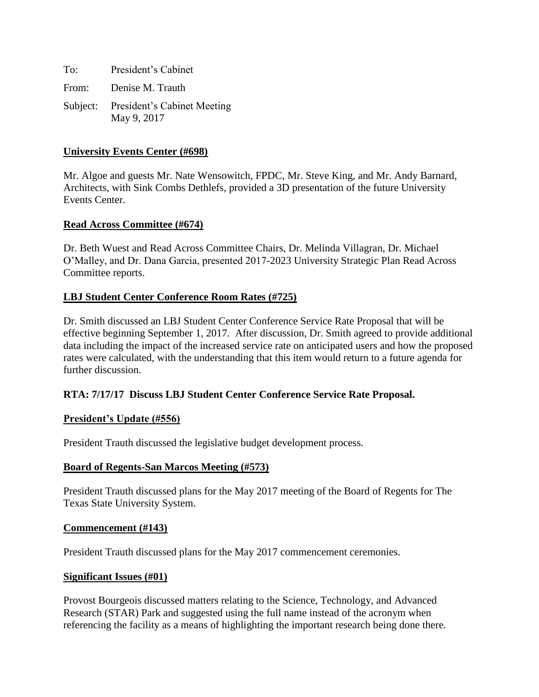To: President's Cabinet From: Denise M. Trauth Subject: President's Cabinet Meeting May 9, 2017

#### **University Events Center (#698)**

Mr. Algoe and guests Mr. Nate Wensowitch, FPDC, Mr. Steve King, and Mr. Andy Barnard, Architects, with Sink Combs Dethlefs, provided a 3D presentation of the future University Events Center.

#### **Read Across Committee (#674)**

Dr. Beth Wuest and Read Across Committee Chairs, Dr. Melinda Villagran, Dr. Michael O'Malley, and Dr. Dana Garcia, presented 2017-2023 University Strategic Plan Read Across Committee reports.

### **LBJ Student Center Conference Room Rates (#725)**

Dr. Smith discussed an LBJ Student Center Conference Service Rate Proposal that will be effective beginning September 1, 2017. After discussion, Dr. Smith agreed to provide additional data including the impact of the increased service rate on anticipated users and how the proposed rates were calculated, with the understanding that this item would return to a future agenda for further discussion.

### **RTA: 7/17/17 Discuss LBJ Student Center Conference Service Rate Proposal.**

#### **President's Update (#556)**

President Trauth discussed the legislative budget development process.

#### **Board of Regents-San Marcos Meeting (#573)**

President Trauth discussed plans for the May 2017 meeting of the Board of Regents for The Texas State University System.

#### **Commencement (#143)**

President Trauth discussed plans for the May 2017 commencement ceremonies.

#### **Significant Issues (#01)**

Provost Bourgeois discussed matters relating to the Science, Technology, and Advanced Research (STAR) Park and suggested using the full name instead of the acronym when referencing the facility as a means of highlighting the important research being done there.